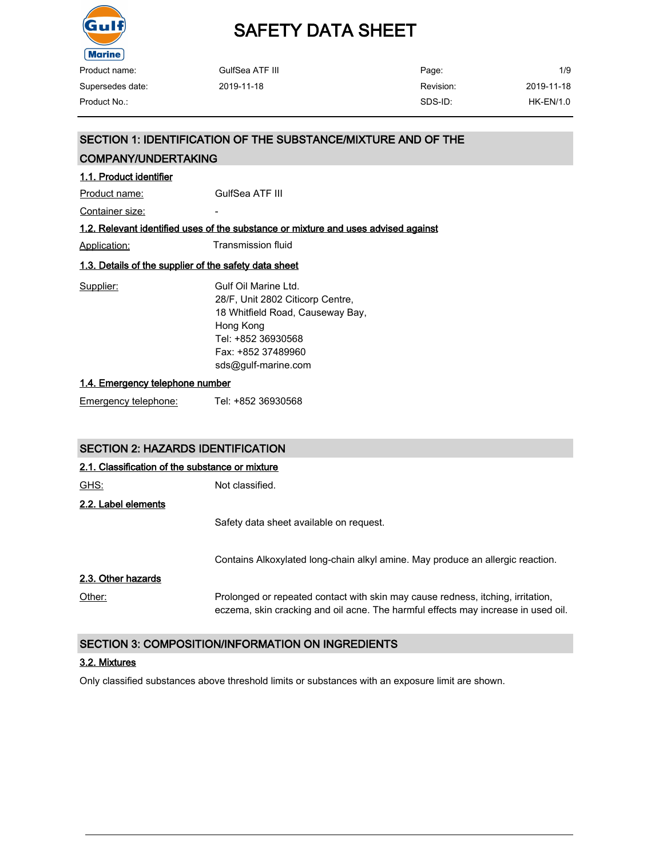

| Product name:    | GulfSea ATF III | Page:     | 1/9         |
|------------------|-----------------|-----------|-------------|
| Supersedes date: | 2019-11-18      | Revision: | 2019-11-18  |
| Product No.:     |                 | SDS-ID:   | $HK-EN/1.0$ |
|                  |                 |           |             |

|                                                       | SECTION 1: IDENTIFICATION OF THE SUBSTANCE/MIXTURE AND OF THE                                                                                                                 |  |  |  |
|-------------------------------------------------------|-------------------------------------------------------------------------------------------------------------------------------------------------------------------------------|--|--|--|
| <b>COMPANY/UNDERTAKING</b>                            |                                                                                                                                                                               |  |  |  |
| 1.1. Product identifier                               |                                                                                                                                                                               |  |  |  |
| Product name:                                         | GulfSea ATF III                                                                                                                                                               |  |  |  |
| Container size:                                       |                                                                                                                                                                               |  |  |  |
|                                                       | 1.2. Relevant identified uses of the substance or mixture and uses advised against                                                                                            |  |  |  |
| <u> Application:</u>                                  | <b>Transmission fluid</b>                                                                                                                                                     |  |  |  |
| 1.3. Details of the supplier of the safety data sheet |                                                                                                                                                                               |  |  |  |
| Supplier:                                             | Gulf Oil Marine I td.<br>28/F, Unit 2802 Citicorp Centre,<br>18 Whitfield Road, Causeway Bay,<br>Hong Kong<br>Tel: +852 36930568<br>Fax: +852 37489960<br>sds@gulf-marine.com |  |  |  |
|                                                       | 1.4. Emergency telephone number                                                                                                                                               |  |  |  |
| <b>Emergency telephone:</b>                           | Tel: +852 36930568                                                                                                                                                            |  |  |  |

## SECTION 2: HAZARDS IDENTIFICATION

| 2.1. Classification of the substance or mixture |                                                                                                                                                                      |  |
|-------------------------------------------------|----------------------------------------------------------------------------------------------------------------------------------------------------------------------|--|
| <u>GHS:</u>                                     | Not classified.                                                                                                                                                      |  |
| 2.2. Label elements                             |                                                                                                                                                                      |  |
|                                                 | Safety data sheet available on request.                                                                                                                              |  |
|                                                 | Contains Alkoxylated long-chain alkyl amine. May produce an allergic reaction.                                                                                       |  |
| 2.3. Other hazards                              |                                                                                                                                                                      |  |
| Other:                                          | Prolonged or repeated contact with skin may cause redness, itching, irritation,<br>eczema, skin cracking and oil acne. The harmful effects may increase in used oil. |  |

## SECTION 3: COMPOSITION/INFORMATION ON INGREDIENTS

### 3.2. Mixtures

Only classified substances above threshold limits or substances with an exposure limit are shown.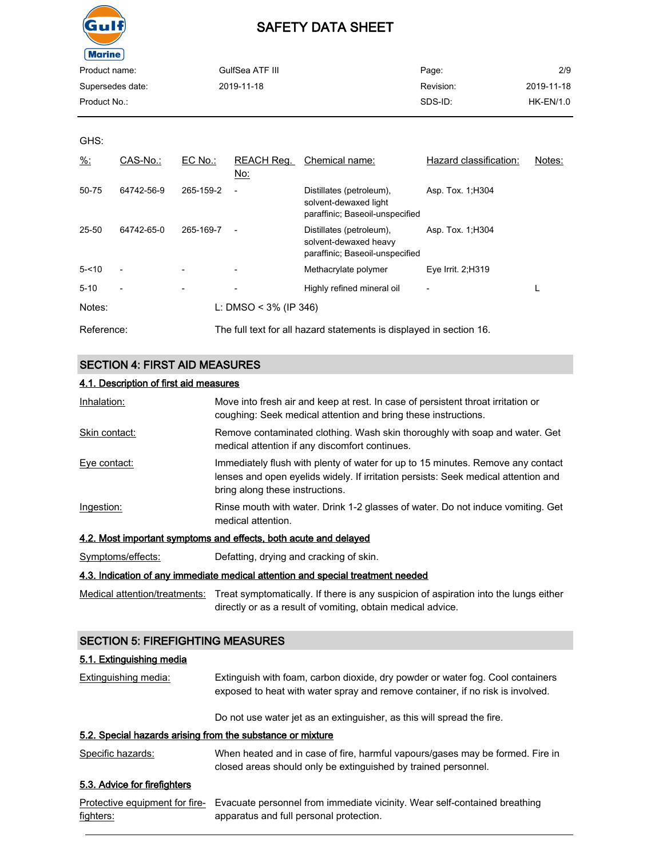

| Product name:    | GulfSea ATF III | Page:     | 2/9         |
|------------------|-----------------|-----------|-------------|
| Supersedes date: | 2019-11-18      | Revision: | 2019-11-18  |
| Product No.:     |                 | SDS-ID:   | $HK-EN/1.0$ |
|                  |                 |           |             |

GHS:

| $\frac{9}{6}$ : | CAS-No.:                 | EC No.:   | REACH Reg.<br>No:        | Chemical name:                                                                       | Hazard classification: | Notes: |
|-----------------|--------------------------|-----------|--------------------------|--------------------------------------------------------------------------------------|------------------------|--------|
| 50-75           | 64742-56-9               | 265-159-2 | $\overline{a}$           | Distillates (petroleum),<br>solvent-dewaxed light<br>paraffinic; Baseoil-unspecified | Asp. Tox. 1, H304      |        |
| 25-50           | 64742-65-0               | 265-169-7 | $\overline{\phantom{a}}$ | Distillates (petroleum),<br>solvent-dewaxed heavy<br>paraffinic; Baseoil-unspecified | Asp. Tox. 1, H304      |        |
| $5 - 10$        |                          |           |                          | Methacrylate polymer                                                                 | Eye Irrit. 2; H319     |        |
| $5 - 10$        | $\overline{\phantom{a}}$ |           |                          | Highly refined mineral oil                                                           |                        |        |
| Notes:          |                          |           | L: DMSO < $3\%$ (IP 346) |                                                                                      |                        |        |
| Reference:      |                          |           |                          | The full text for all hazard statements is displayed in section 16.                  |                        |        |

### SECTION 4: FIRST AID MEASURES

| 4.1. Description of first aid measures |                                                                                                                                                    |  |
|----------------------------------------|----------------------------------------------------------------------------------------------------------------------------------------------------|--|
| Inhalation:                            | Move into fresh air and keep at rest. In case of persistent throat irritation or<br>coughing: Seek medical attention and bring these instructions. |  |
| Skin contact:                          | Remove contaminated clothing. Wash skin thoroughly with soap and water. Get<br>medical attention if any discomfort continues.                      |  |
| Eye contact:                           | Immediately flush with plenty of water for up to 15 minutes. Remove any contact                                                                    |  |

p to 15 minutes. Remove any contact lenses and open eyelids widely. If irritation persists: Seek medical attention and bring along these instructions.

Ingestion: Rinse mouth with water. Drink 1-2 glasses of water. Do not induce vomiting. Get medical attention.

#### 4.2. Most important symptoms and effects, both acute and delayed

Symptoms/effects: Defatting, drying and cracking of skin.

### 4.3. Indication of any immediate medical attention and special treatment needed

Medical attention/treatments: Treat symptomatically. If there is any suspicion of aspiration into the lungs either directly or as a result of vomiting, obtain medical advice.

### SECTION 5: FIREFIGHTING MEASURES

#### 5.1. Extinguishing media

| <b>Extinguishing media:</b> | Extinguish with foam, carbon dioxide, dry powder or water fog. Cool containers |
|-----------------------------|--------------------------------------------------------------------------------|
|                             | exposed to heat with water spray and remove container, if no risk is involved. |

Do not use water jet as an extinguisher, as this will spread the fire.

### 5.2. Special hazards arising from the substance or mixture

Specific hazards: When heated and in case of fire, harmful vapours/gases may be formed. Fire in closed areas should only be extinguished by trained personnel.

## 5.3. Advice for firefighters

|           | Protective equipment for fire- Evacuate personnel from immediate vicinity. Wear self-contained breathing |
|-----------|----------------------------------------------------------------------------------------------------------|
| fighters: | apparatus and full personal protection.                                                                  |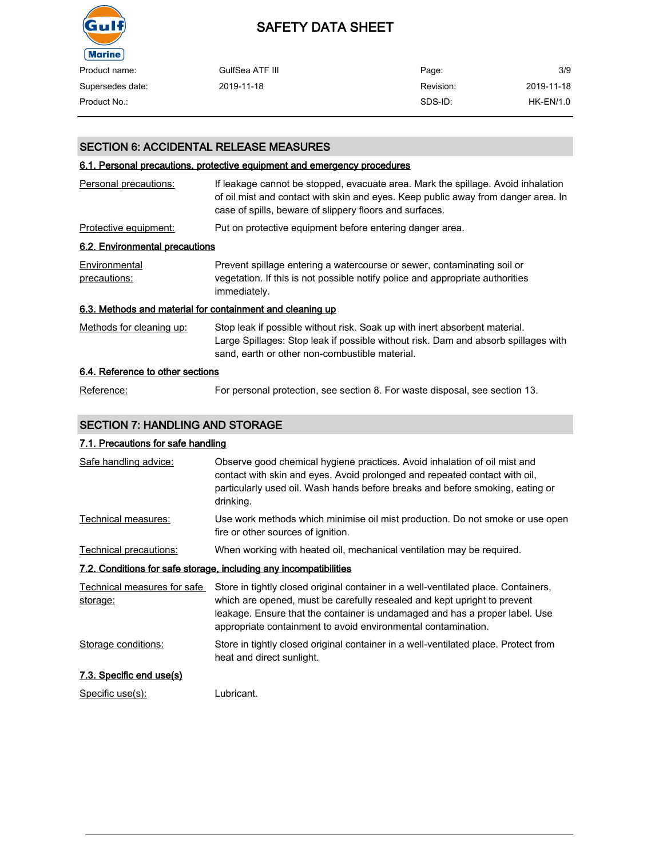

| Product name:    | GulfSea ATF III | Page:     | 3/9        |
|------------------|-----------------|-----------|------------|
| Supersedes date: | 2019-11-18      | Revision: | 2019-11-18 |
| Product No.:     |                 | SDS-ID:   | HK-EN/1.0  |

## SECTION 6: ACCIDENTAL RELEASE MEASURES

#### 6.1. Personal precautions, protective equipment and emergency procedures

| Personal precautions:                                     | If leakage cannot be stopped, evacuate area. Mark the spillage. Avoid inhalation<br>of oil mist and contact with skin and eyes. Keep public away from danger area. In<br>case of spills, beware of slippery floors and surfaces. |
|-----------------------------------------------------------|----------------------------------------------------------------------------------------------------------------------------------------------------------------------------------------------------------------------------------|
| Protective equipment:                                     | Put on protective equipment before entering danger area.                                                                                                                                                                         |
| 6.2. Environmental precautions                            |                                                                                                                                                                                                                                  |
| Environmental<br>precautions:                             | Prevent spillage entering a watercourse or sewer, contaminating soil or<br>vegetation. If this is not possible notify police and appropriate authorities<br>immediately.                                                         |
| 6.3. Methods and material for containment and cleaning up |                                                                                                                                                                                                                                  |
| Methods for cleaning up:                                  | Stop leak if possible without risk. Soak up with inert absorbent material.<br>Large Spillages: Stop leak if possible without risk. Dam and absorb spillages with<br>sand, earth or other non-combustible material.               |
| 6.4. Reference to other sections                          |                                                                                                                                                                                                                                  |

### Reference: For personal protection, see section 8. For waste disposal, see section 13.

## SECTION 7: HANDLING AND STORAGE

## 7.1. Precautions for safe handling

| Safe handling advice:                                             | Observe good chemical hygiene practices. Avoid inhalation of oil mist and<br>contact with skin and eyes. Avoid prolonged and repeated contact with oil,<br>particularly used oil. Wash hands before breaks and before smoking, eating or<br>drinking. |  |  |  |
|-------------------------------------------------------------------|-------------------------------------------------------------------------------------------------------------------------------------------------------------------------------------------------------------------------------------------------------|--|--|--|
| Technical measures:                                               | Use work methods which minimise oil mist production. Do not smoke or use open<br>fire or other sources of ignition.                                                                                                                                   |  |  |  |
| Technical precautions:                                            | When working with heated oil, mechanical ventilation may be required.                                                                                                                                                                                 |  |  |  |
| 7.2. Conditions for safe storage, including any incompatibilities |                                                                                                                                                                                                                                                       |  |  |  |
| Technical measures for safe<br>storage:                           | Store in tightly closed original container in a well-ventilated place. Containers,<br>which are opened, must be carefully resealed and kept upright to prevent                                                                                        |  |  |  |
|                                                                   | leakage. Ensure that the container is undamaged and has a proper label. Use<br>appropriate containment to avoid environmental contamination.                                                                                                          |  |  |  |
| Storage conditions:                                               | Store in tightly closed original container in a well-ventilated place. Protect from<br>heat and direct sunlight.                                                                                                                                      |  |  |  |
| 7.3. Specific end use(s)                                          |                                                                                                                                                                                                                                                       |  |  |  |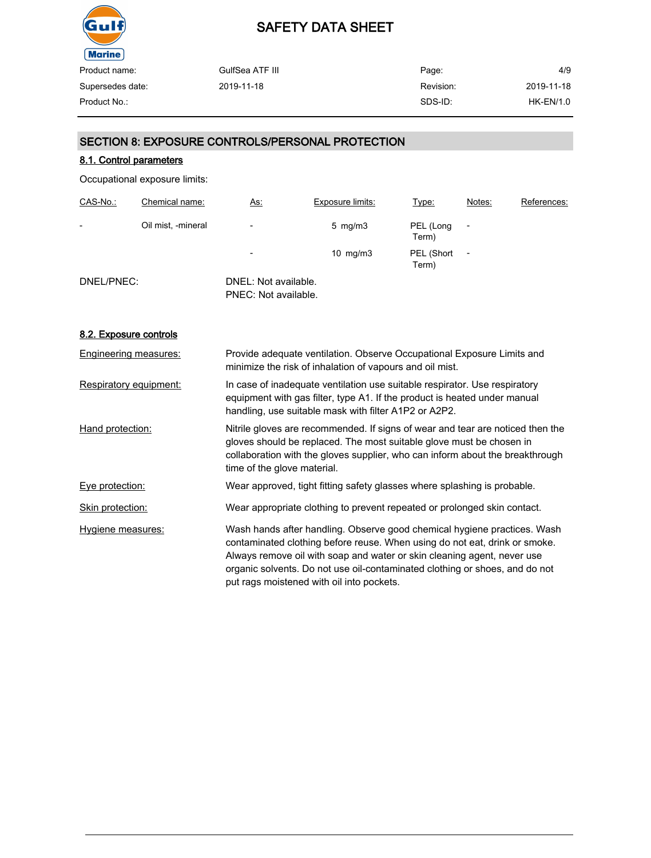

| GulfSea ATF III | Page:     | 4/9        |
|-----------------|-----------|------------|
| 2019-11-18      | Revision: | 2019-11-18 |
|                 | SDS-ID:   | HK-EN/1.0  |
|                 |           |            |

### SECTION 8: EXPOSURE CONTROLS/PERSONAL PROTECTION

### 8.1. Control parameters

Occupational exposure limits:

| CAS-No.:   | Chemical name:     | <u>As:</u>                                   | <b>Exposure limits:</b> | Type:               | Notes:                   | References: |
|------------|--------------------|----------------------------------------------|-------------------------|---------------------|--------------------------|-------------|
| -          | Oil mist, -mineral | $\overline{\phantom{a}}$                     | $5 \,$ mg/m $3 \,$      | PEL (Long<br>Term)  |                          |             |
|            |                    | $\overline{\phantom{a}}$                     | $10 \text{ mg/m}$       | PEL (Short<br>Term) | $\overline{\phantom{0}}$ |             |
| DNEL/PNEC: |                    | DNEL: Not available.<br>PNEC: Not available. |                         |                     |                          |             |

#### 8.2. Exposure controls

| Engineering measures:  | Provide adequate ventilation. Observe Occupational Exposure Limits and<br>minimize the risk of inhalation of vapours and oil mist.                                                                                                                                                                                                                            |
|------------------------|---------------------------------------------------------------------------------------------------------------------------------------------------------------------------------------------------------------------------------------------------------------------------------------------------------------------------------------------------------------|
| Respiratory equipment: | In case of inadequate ventilation use suitable respirator. Use respiratory<br>equipment with gas filter, type A1. If the product is heated under manual<br>handling, use suitable mask with filter A1P2 or A2P2.                                                                                                                                              |
| Hand protection:       | Nitrile gloves are recommended. If signs of wear and tear are noticed then the<br>gloves should be replaced. The most suitable glove must be chosen in<br>collaboration with the gloves supplier, who can inform about the breakthrough<br>time of the glove material.                                                                                        |
| Eye protection:        | Wear approved, tight fitting safety glasses where splashing is probable.                                                                                                                                                                                                                                                                                      |
| Skin protection:       | Wear appropriate clothing to prevent repeated or prolonged skin contact.                                                                                                                                                                                                                                                                                      |
| Hygiene measures:      | Wash hands after handling. Observe good chemical hygiene practices. Wash<br>contaminated clothing before reuse. When using do not eat, drink or smoke.<br>Always remove oil with soap and water or skin cleaning agent, never use<br>organic solvents. Do not use oil-contaminated clothing or shoes, and do not<br>put rags moistened with oil into pockets. |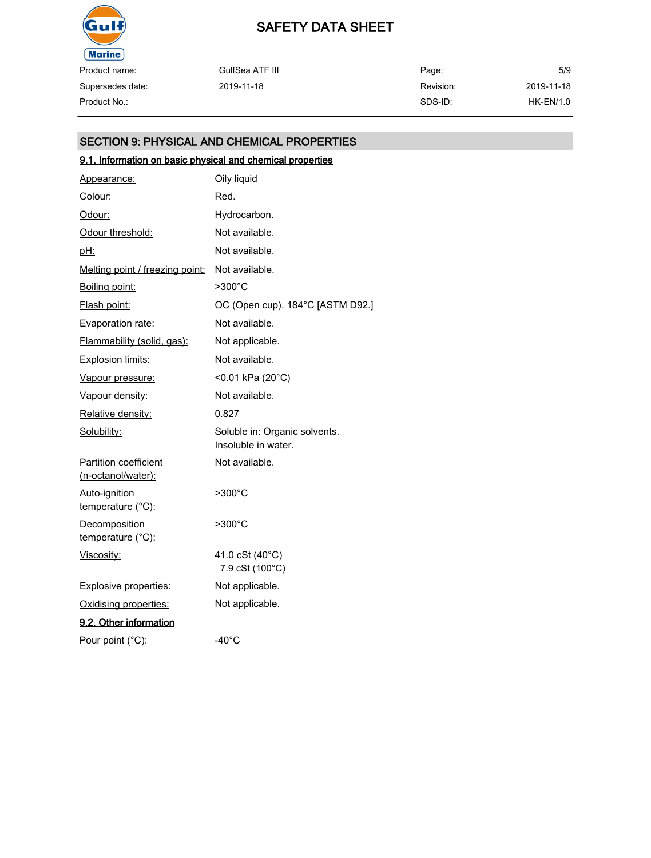

Supersedes date: GulfSea ATF III 2019-11-18 Page: Revision: SDS-ID: 5/9 2019-11-18 Product No.: HK-EN/1.0

## SECTION 9: PHYSICAL AND CHEMICAL PROPERTIES

## 9.1. Information on basic physical and chemical properties

| Appearance:                                        | Oily liquid                                          |
|----------------------------------------------------|------------------------------------------------------|
| Colour:                                            | Red.                                                 |
| Odour:                                             | Hydrocarbon.                                         |
| Odour threshold:                                   | Not available.                                       |
| <u>pH:</u>                                         | Not available.                                       |
| Melting point / freezing point:                    | Not available.                                       |
| Boiling point:                                     | >300°C                                               |
| Flash point:                                       | OC (Open cup). 184°C [ASTM D92.]                     |
| Evaporation rate:                                  | Not available.                                       |
| Flammability (solid, gas):                         | Not applicable.                                      |
| Explosion limits:                                  | Not available.                                       |
| Vapour pressure:                                   | <0.01 kPa (20°C)                                     |
| Vapour density:                                    | Not available.                                       |
| Relative density:                                  | 0.827                                                |
| Solubility:                                        | Soluble in: Organic solvents.<br>Insoluble in water. |
| <b>Partition coefficient</b><br>(n-octanol/water): | Not available.                                       |
| Auto-ignition<br>temperature (°C):                 | $>300^{\circ}$ C                                     |
| <b>Decomposition</b><br>temperature (°C):          | $>300^{\circ}$ C                                     |
| Viscosity:                                         | 41.0 cSt (40°C)<br>7.9 cSt (100°C)                   |
| <b>Explosive properties:</b>                       | Not applicable.                                      |
| Oxidising properties:                              | Not applicable.                                      |
| 9.2. Other information                             |                                                      |
| Pour point (°C):                                   | $-40^{\circ}$ C                                      |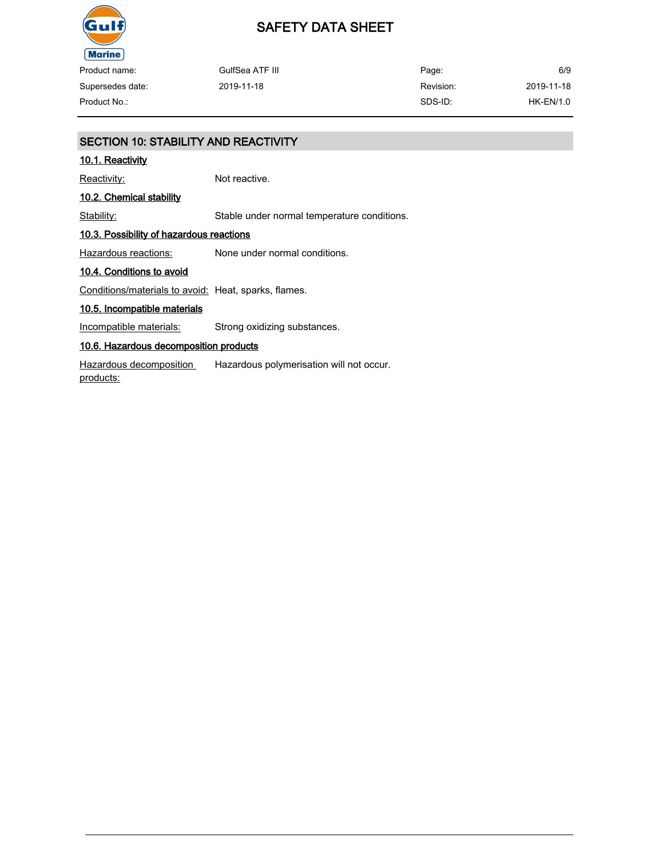

| Product name:    | GulfSea ATF III | Page:     | 6/9         |
|------------------|-----------------|-----------|-------------|
| Supersedes date: | 2019-11-18      | Revision: | 2019-11-18  |
| Product No.:     |                 | SDS-ID:   | $HK-EN/1.0$ |

## SECTION 10: STABILITY AND REACTIVITY 10.1. Reactivity Reactivity: Not reactive. 10.2. Chemical stability Stability: Stable under normal temperature conditions. 10.3. Possibility of hazardous reactions Hazardous reactions: None under normal conditions. 10.4. Conditions to avoid Conditions/materials to avoid: Heat, sparks, flames. 10.5. Incompatible materials Incompatible materials: Strong oxidizing substances. 10.6. Hazardous decomposition products Hazardous decomposition products: Hazardous polymerisation will not occur.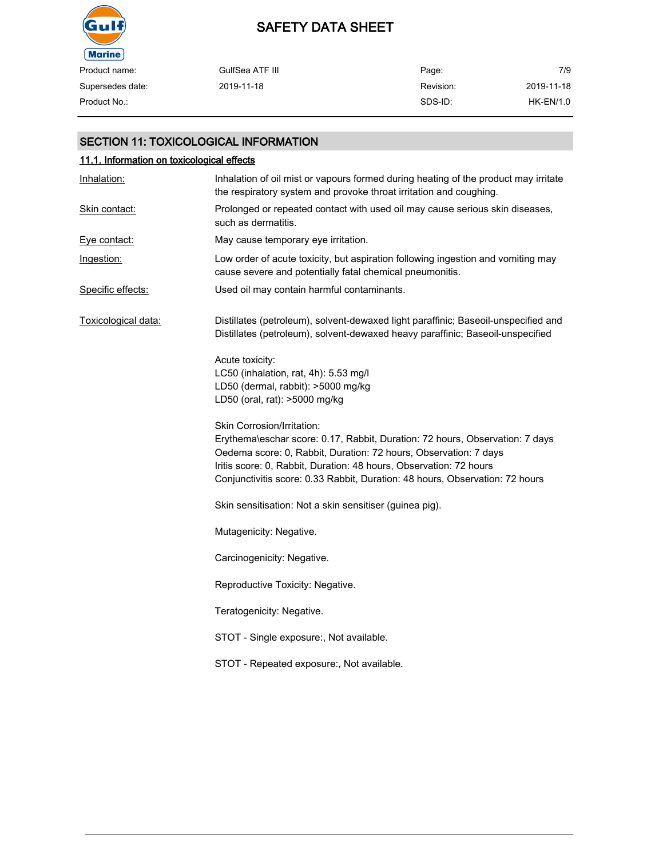

| Product name:    | GulfSea ATF III | Page:     | 7/9        |
|------------------|-----------------|-----------|------------|
| Supersedes date: | 2019-11-18      | Revision: | 2019-11-18 |
| Product No.:     |                 | SDS-ID:   | HK-EN/1.0  |

## SECTION 11: TOXICOLOGICAL INFORMATION

| 11.1. Information on toxicological effects |                                                                                                                                                                                                                                                                                                                                      |  |  |
|--------------------------------------------|--------------------------------------------------------------------------------------------------------------------------------------------------------------------------------------------------------------------------------------------------------------------------------------------------------------------------------------|--|--|
| Inhalation:                                | Inhalation of oil mist or vapours formed during heating of the product may irritate<br>the respiratory system and provoke throat irritation and coughing.                                                                                                                                                                            |  |  |
| <b>Skin contact:</b>                       | Prolonged or repeated contact with used oil may cause serious skin diseases,<br>such as dermatitis.                                                                                                                                                                                                                                  |  |  |
| Eye contact:                               | May cause temporary eye irritation.                                                                                                                                                                                                                                                                                                  |  |  |
| Ingestion:                                 | Low order of acute toxicity, but aspiration following ingestion and vomiting may<br>cause severe and potentially fatal chemical pneumonitis.                                                                                                                                                                                         |  |  |
| Specific effects:                          | Used oil may contain harmful contaminants.                                                                                                                                                                                                                                                                                           |  |  |
| Toxicological data:                        | Distillates (petroleum), solvent-dewaxed light paraffinic; Baseoil-unspecified and<br>Distillates (petroleum), solvent-dewaxed heavy paraffinic; Baseoil-unspecified                                                                                                                                                                 |  |  |
|                                            | Acute toxicity:<br>LC50 (inhalation, rat, 4h): 5.53 mg/l<br>LD50 (dermal, rabbit): >5000 mg/kg<br>LD50 (oral, rat): >5000 mg/kg                                                                                                                                                                                                      |  |  |
|                                            | Skin Corrosion/Irritation:<br>Erythema\eschar score: 0.17, Rabbit, Duration: 72 hours, Observation: 7 days<br>Oedema score: 0, Rabbit, Duration: 72 hours, Observation: 7 days<br>Iritis score: 0, Rabbit, Duration: 48 hours, Observation: 72 hours<br>Conjunctivitis score: 0.33 Rabbit, Duration: 48 hours, Observation: 72 hours |  |  |
|                                            | Skin sensitisation: Not a skin sensitiser (guinea pig).                                                                                                                                                                                                                                                                              |  |  |
|                                            | Mutagenicity: Negative.                                                                                                                                                                                                                                                                                                              |  |  |
|                                            | Carcinogenicity: Negative.                                                                                                                                                                                                                                                                                                           |  |  |
|                                            | Reproductive Toxicity: Negative.                                                                                                                                                                                                                                                                                                     |  |  |
|                                            | Teratogenicity: Negative.                                                                                                                                                                                                                                                                                                            |  |  |
|                                            | STOT - Single exposure:, Not available.                                                                                                                                                                                                                                                                                              |  |  |
|                                            | STOT - Repeated exposure:, Not available.                                                                                                                                                                                                                                                                                            |  |  |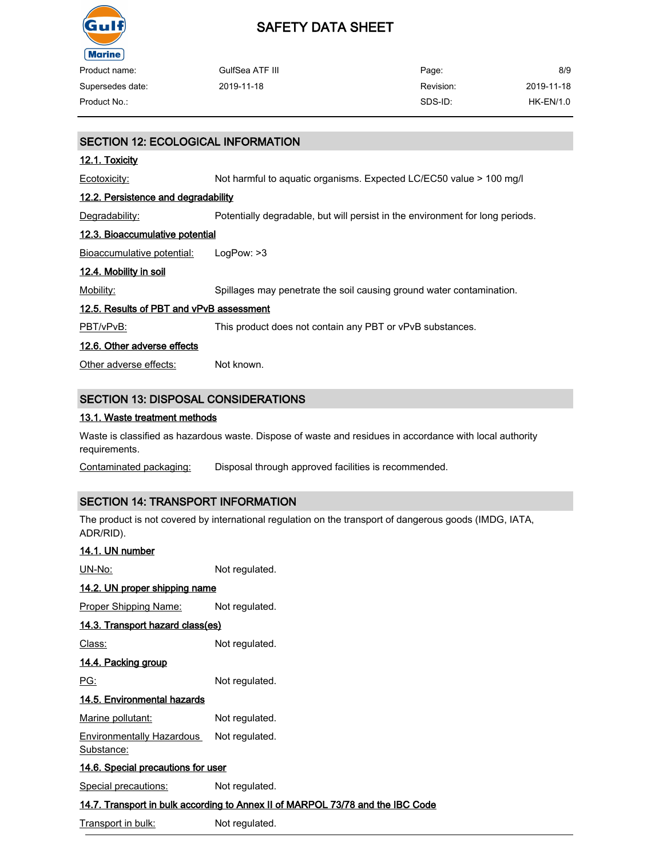

| Product name:                             | GulfSea ATF III                                                     | Page:     | 8/9         |  |
|-------------------------------------------|---------------------------------------------------------------------|-----------|-------------|--|
| Supersedes date:                          | 2019-11-18                                                          | Revision: | 2019-11-18  |  |
| Product No.:                              |                                                                     | SDS-ID:   | $HK-EN/1.0$ |  |
|                                           |                                                                     |           |             |  |
| <b>SECTION 12: ECOLOGICAL INFORMATION</b> |                                                                     |           |             |  |
| 12.1. Toxicity                            |                                                                     |           |             |  |
| Ecotoxicity:                              | Not harmful to aguatic organisms. Expected LC/EC50 value > 100 mg/l |           |             |  |
|                                           |                                                                     |           |             |  |

#### 12.2. Persistence and degradability

Degradability: Potentially degradable, but will persist in the environment for long periods.

#### 12.3. Bioaccumulative potential

Bioaccumulative potential: LogPow: >3

#### 12.4. Mobility in soil

Mobility: Spillages may penetrate the soil causing ground water contamination.

#### 12.5. Results of PBT and vPvB assessment

PBT/vPvB: This product does not contain any PBT or vPvB substances.

#### 12.6. Other adverse effects

Other adverse effects: Not known.

### SECTION 13: DISPOSAL CONSIDERATIONS

#### 13.1. Waste treatment methods

Waste is classified as hazardous waste. Dispose of waste and residues in accordance with local authority requirements.

Contaminated packaging: Disposal through approved facilities is recommended.

## SECTION 14: TRANSPORT INFORMATION

The product is not covered by international regulation on the transport of dangerous goods (IMDG, IATA, ADR/RID).

## 14.1. UN number UN-No: Not regulated. 14.2. UN proper shipping name Proper Shipping Name: Not regulated. 14.3. Transport hazard class(es) Class: Not regulated. 14.4. Packing group PG: Not regulated. 14.5. Environmental hazards Marine pollutant: Not regulated. Environmentally Hazardous Substance: Not regulated. 14.6. Special precautions for user Special precautions: Not regulated. 14.7. Transport in bulk according to Annex II of MARPOL 73/78 and the IBC Code

Transport in bulk: Not regulated.